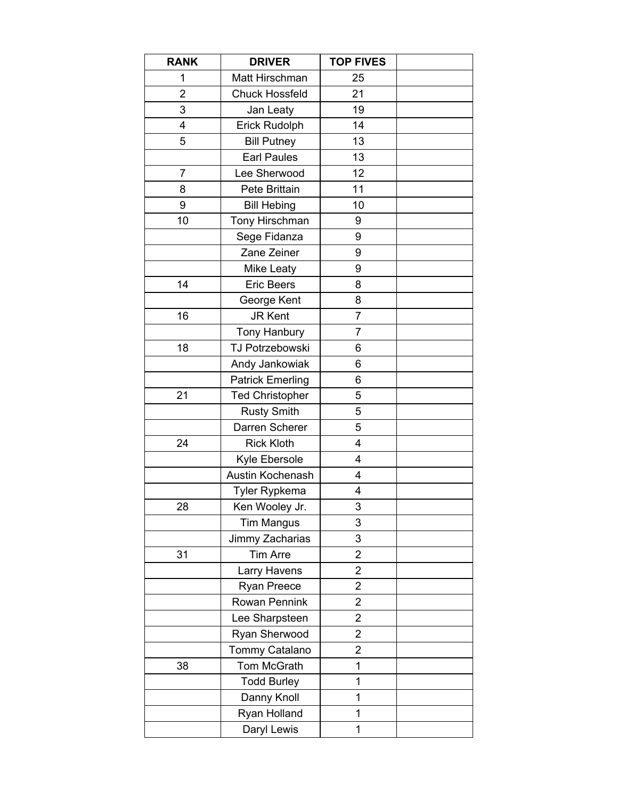| <b>RANK</b>    | <b>DRIVER</b>           | <b>TOP FIVES</b>        |  |
|----------------|-------------------------|-------------------------|--|
| 1              | Matt Hirschman          | 25                      |  |
| $\overline{2}$ | <b>Chuck Hossfeld</b>   | 21                      |  |
| 3              | Jan Leaty               | 19                      |  |
| 4              | Erick Rudolph           | 14                      |  |
| 5              | <b>Bill Putney</b>      | 13                      |  |
|                | <b>Earl Paules</b>      | 13                      |  |
| $\overline{7}$ | Lee Sherwood            | 12                      |  |
| 8              | Pete Brittain           | 11                      |  |
| 9              | <b>Bill Hebing</b>      | 10                      |  |
| 10             | Tony Hirschman          | 9                       |  |
|                | Sege Fidanza            | 9                       |  |
|                | Zane Zeiner             | 9                       |  |
|                | Mike Leaty              | 9                       |  |
| 14             | <b>Eric Beers</b>       | 8                       |  |
|                | George Kent             | 8                       |  |
| 16             | <b>JR Kent</b>          | $\overline{7}$          |  |
|                | Tony Hanbury            | $\overline{7}$          |  |
| 18             | TJ Potrzebowski         | 6                       |  |
|                | Andy Jankowiak          | 6                       |  |
|                | <b>Patrick Emerling</b> | 6                       |  |
| 21             | <b>Ted Christopher</b>  | 5                       |  |
|                | <b>Rusty Smith</b>      | 5                       |  |
|                | Darren Scherer          | 5                       |  |
| 24             | <b>Rick Kloth</b>       | 4                       |  |
|                | Kyle Ebersole           | $\overline{4}$          |  |
|                | Austin Kochenash        | $\overline{4}$          |  |
|                | Tyler Rypkema           | 4                       |  |
| 28             | Ken Wooley Jr.          | 3                       |  |
|                | <b>Tim Mangus</b>       | 3                       |  |
|                | Jimmy Zacharias         | 3                       |  |
| 31             | <b>Tim Arre</b>         | $\overline{\mathbf{c}}$ |  |
|                | Larry Havens            | $\overline{\mathbf{c}}$ |  |
|                | Ryan Preece             | $\overline{\mathbf{c}}$ |  |
|                | Rowan Pennink           | $\overline{c}$          |  |
|                | Lee Sharpsteen          | $\overline{\mathbf{c}}$ |  |
|                | Ryan Sherwood           | $\overline{\mathbf{c}}$ |  |
|                | Tommy Catalano          | $\overline{2}$          |  |
| 38             | <b>Tom McGrath</b>      | $\mathbf 1$             |  |
|                | <b>Todd Burley</b>      | 1                       |  |
|                | Danny Knoll             | 1                       |  |
|                | Ryan Holland            | 1                       |  |
|                | Daryl Lewis             | 1                       |  |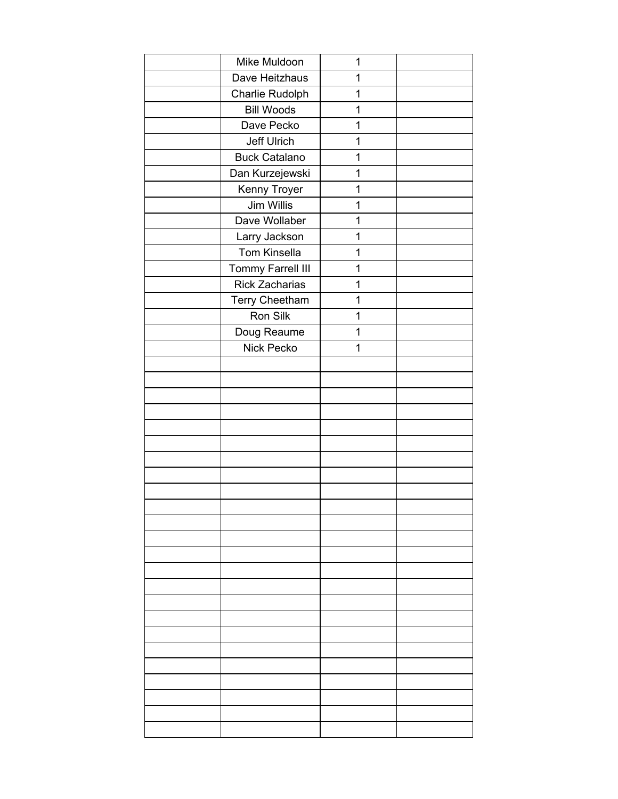| Mike Muldoon          | 1 |  |
|-----------------------|---|--|
| Dave Heitzhaus        | 1 |  |
| Charlie Rudolph       | 1 |  |
| <b>Bill Woods</b>     | 1 |  |
| Dave Pecko            | 1 |  |
| Jeff Ulrich           | 1 |  |
| <b>Buck Catalano</b>  | 1 |  |
| Dan Kurzejewski       | 1 |  |
| Kenny Troyer          | 1 |  |
| Jim Willis            | 1 |  |
| Dave Wollaber         | 1 |  |
| Larry Jackson         | 1 |  |
| Tom Kinsella          | 1 |  |
| Tommy Farrell III     | 1 |  |
| <b>Rick Zacharias</b> | 1 |  |
| Terry Cheetham        | 1 |  |
| Ron Silk              | 1 |  |
| Doug Reaume           | 1 |  |
| Nick Pecko            | 1 |  |
|                       |   |  |
|                       |   |  |
|                       |   |  |
|                       |   |  |
|                       |   |  |
|                       |   |  |
|                       |   |  |
|                       |   |  |
|                       |   |  |
|                       |   |  |
|                       |   |  |
|                       |   |  |
|                       |   |  |
|                       |   |  |
|                       |   |  |
|                       |   |  |
|                       |   |  |
|                       |   |  |
|                       |   |  |
|                       |   |  |
|                       |   |  |
|                       |   |  |
|                       |   |  |
|                       |   |  |